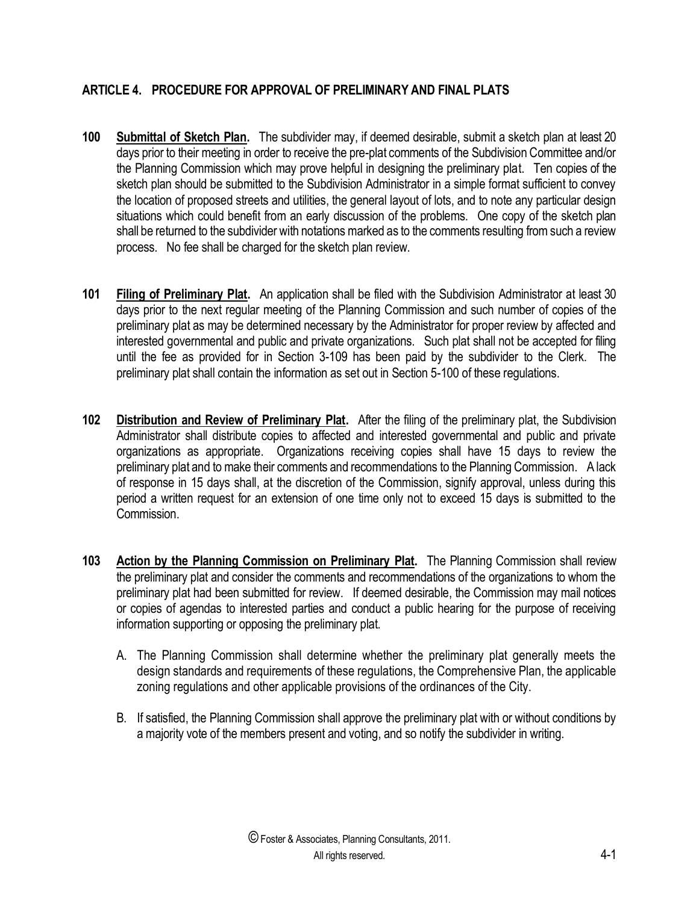## **ARTICLE 4. PROCEDURE FOR APPROVAL OF PRELIMINARY AND FINAL PLATS**

- **100 Submittal of Sketch Plan.** The subdivider may, if deemed desirable, submit a sketch plan at least 20 days prior to their meeting in order to receive the pre-plat comments of the Subdivision Committee and/or the Planning Commission which may prove helpful in designing the preliminary plat. Ten copies of the sketch plan should be submitted to the Subdivision Administrator in a simple format sufficient to convey the location of proposed streets and utilities, the general layout of lots, and to note any particular design situations which could benefit from an early discussion of the problems. One copy of the sketch plan shall be returned to the subdivider with notations marked as to the comments resulting from such a review process. No fee shall be charged for the sketch plan review.
- **101 Filing of Preliminary Plat.** An application shall be filed with the Subdivision Administrator at least 30 days prior to the next regular meeting of the Planning Commission and such number of copies of the preliminary plat as may be determined necessary by the Administrator for proper review by affected and interested governmental and public and private organizations. Such plat shall not be accepted for filing until the fee as provided for in Section 3-109 has been paid by the subdivider to the Clerk. The preliminary plat shall contain the information as set out in Section 5-100 of these regulations.
- **102 Distribution and Review of Preliminary Plat.** After the filing of the preliminary plat, the Subdivision Administrator shall distribute copies to affected and interested governmental and public and private organizations as appropriate. Organizations receiving copies shall have 15 days to review the preliminary plat and to make their comments and recommendations to the Planning Commission. A lack of response in 15 days shall, at the discretion of the Commission, signify approval, unless during this period a written request for an extension of one time only not to exceed 15 days is submitted to the Commission.
- **103 Action by the Planning Commission on Preliminary Plat.** The Planning Commission shall review the preliminary plat and consider the comments and recommendations of the organizations to whom the preliminary plat had been submitted for review. If deemed desirable, the Commission may mail notices or copies of agendas to interested parties and conduct a public hearing for the purpose of receiving information supporting or opposing the preliminary plat.
	- A. The Planning Commission shall determine whether the preliminary plat generally meets the design standards and requirements of these regulations, the Comprehensive Plan, the applicable zoning regulations and other applicable provisions of the ordinances of the City.
	- B. If satisfied, the Planning Commission shall approve the preliminary plat with or without conditions by a majority vote of the members present and voting, and so notify the subdivider in writing.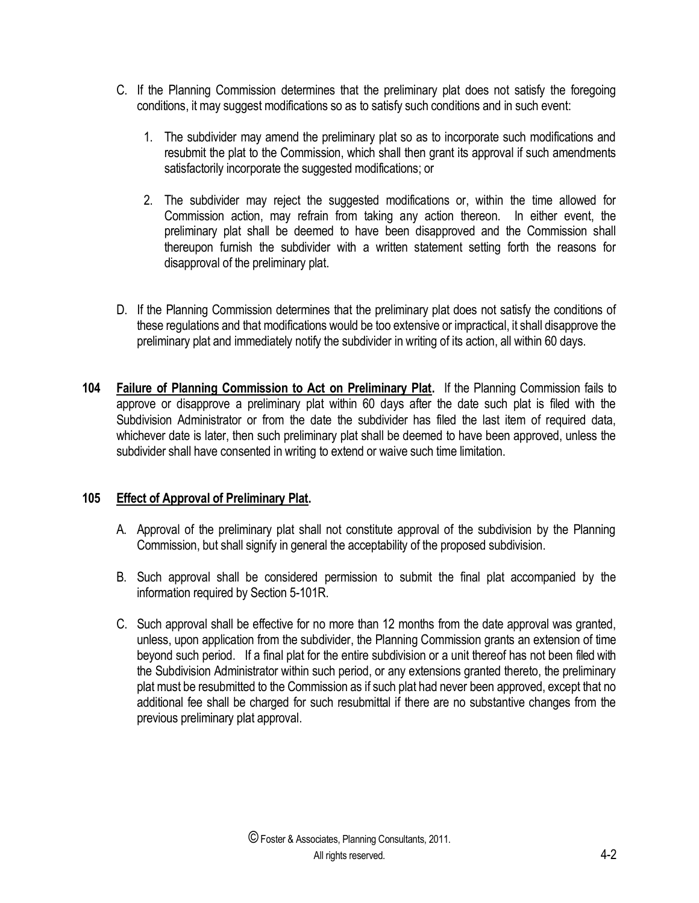- C. If the Planning Commission determines that the preliminary plat does not satisfy the foregoing conditions, it may suggest modifications so as to satisfy such conditions and in such event:
	- 1. The subdivider may amend the preliminary plat so as to incorporate such modifications and resubmit the plat to the Commission, which shall then grant its approval if such amendments satisfactorily incorporate the suggested modifications; or
	- 2. The subdivider may reject the suggested modifications or, within the time allowed for Commission action, may refrain from taking any action thereon. In either event, the preliminary plat shall be deemed to have been disapproved and the Commission shall thereupon furnish the subdivider with a written statement setting forth the reasons for disapproval of the preliminary plat.
- D. If the Planning Commission determines that the preliminary plat does not satisfy the conditions of these regulations and that modifications would be too extensive or impractical, it shall disapprove the preliminary plat and immediately notify the subdivider in writing of its action, all within 60 days.
- **104 Failure of Planning Commission to Act on Preliminary Plat.** If the Planning Commission fails to approve or disapprove a preliminary plat within 60 days after the date such plat is filed with the Subdivision Administrator or from the date the subdivider has filed the last item of required data, whichever date is later, then such preliminary plat shall be deemed to have been approved, unless the subdivider shall have consented in writing to extend or waive such time limitation.

## **105 Effect of Approval of Preliminary Plat.**

- A. Approval of the preliminary plat shall not constitute approval of the subdivision by the Planning Commission, but shall signify in general the acceptability of the proposed subdivision.
- B. Such approval shall be considered permission to submit the final plat accompanied by the information required by Section 5-101R.
- C. Such approval shall be effective for no more than 12 months from the date approval was granted, unless, upon application from the subdivider, the Planning Commission grants an extension of time beyond such period. If a final plat for the entire subdivision or a unit thereof has not been filed with the Subdivision Administrator within such period, or any extensions granted thereto, the preliminary plat must be resubmitted to the Commission as if such plat had never been approved, except that no additional fee shall be charged for such resubmittal if there are no substantive changes from the previous preliminary plat approval.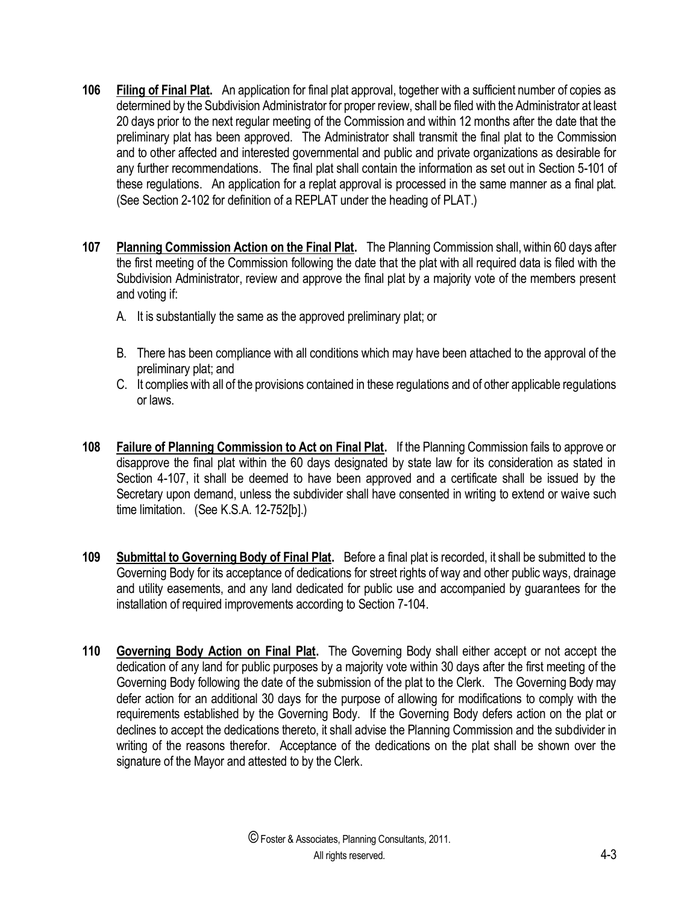- **106 Filing of Final Plat.** An application for final plat approval, together with a sufficient number of copies as determined by the Subdivision Administrator for proper review, shall be filed with the Administrator at least 20 days prior to the next regular meeting of the Commission and within 12 months after the date that the preliminary plat has been approved. The Administrator shall transmit the final plat to the Commission and to other affected and interested governmental and public and private organizations as desirable for any further recommendations. The final plat shall contain the information as set out in Section 5-101 of these regulations. An application for a replat approval is processed in the same manner as a final plat. (See Section 2-102 for definition of a REPLAT under the heading of PLAT.)
- **107 Planning Commission Action on the Final Plat.** The Planning Commission shall, within 60 days after the first meeting of the Commission following the date that the plat with all required data is filed with the Subdivision Administrator, review and approve the final plat by a majority vote of the members present and voting if:
	- A. It is substantially the same as the approved preliminary plat; or
	- B. There has been compliance with all conditions which may have been attached to the approval of the preliminary plat; and
	- C. It complies with all of the provisions contained in these regulations and of other applicable regulations or laws.
- **108 Failure of Planning Commission to Act on Final Plat.** If the Planning Commission fails to approve or disapprove the final plat within the 60 days designated by state law for its consideration as stated in Section 4-107, it shall be deemed to have been approved and a certificate shall be issued by the Secretary upon demand, unless the subdivider shall have consented in writing to extend or waive such time limitation. (See K.S.A. 12-752[b].)
- **109 Submittal to Governing Body of Final Plat.** Before a final plat is recorded, it shall be submitted to the Governing Body for its acceptance of dedications for street rights of way and other public ways, drainage and utility easements, and any land dedicated for public use and accompanied by guarantees for the installation of required improvements according to Section 7-104.
- **110 Governing Body Action on Final Plat.** The Governing Body shall either accept or not accept the dedication of any land for public purposes by a majority vote within 30 days after the first meeting of the Governing Body following the date of the submission of the plat to the Clerk. The Governing Body may defer action for an additional 30 days for the purpose of allowing for modifications to comply with the requirements established by the Governing Body. If the Governing Body defers action on the plat or declines to accept the dedications thereto, it shall advise the Planning Commission and the subdivider in writing of the reasons therefor. Acceptance of the dedications on the plat shall be shown over the signature of the Mayor and attested to by the Clerk.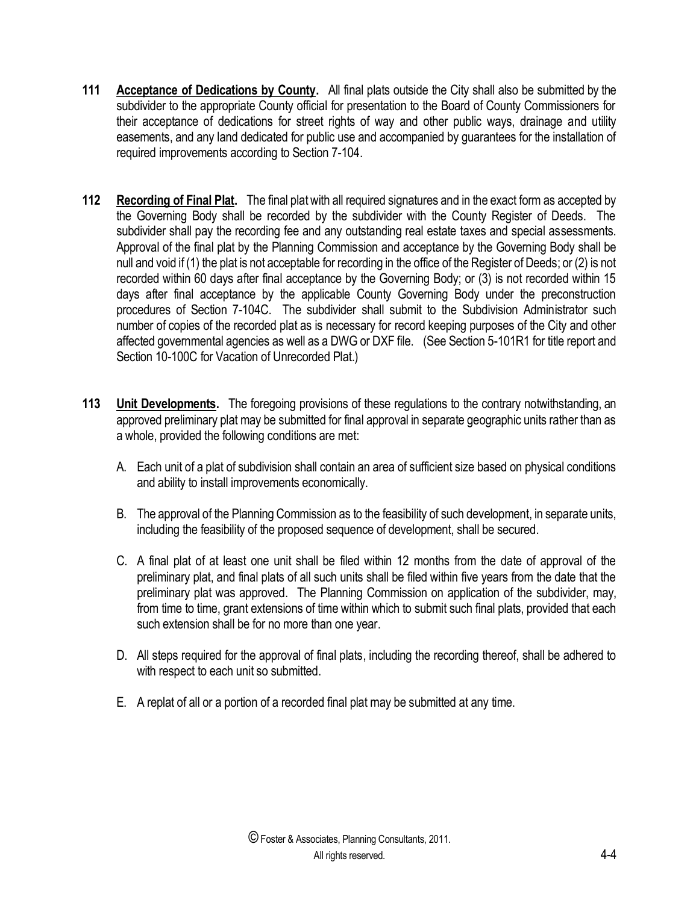- **111 Acceptance of Dedications by County.** All final plats outside the City shall also be submitted by the subdivider to the appropriate County official for presentation to the Board of County Commissioners for their acceptance of dedications for street rights of way and other public ways, drainage and utility easements, and any land dedicated for public use and accompanied by guarantees for the installation of required improvements according to Section 7-104.
- **112 Recording of Final Plat.** The final plat with all required signatures and in the exact form as accepted by the Governing Body shall be recorded by the subdivider with the County Register of Deeds. The subdivider shall pay the recording fee and any outstanding real estate taxes and special assessments. Approval of the final plat by the Planning Commission and acceptance by the Governing Body shall be null and void if (1) the plat is not acceptable for recording in the office of the Register of Deeds; or (2) is not recorded within 60 days after final acceptance by the Governing Body; or (3) is not recorded within 15 days after final acceptance by the applicable County Governing Body under the preconstruction procedures of Section 7-104C. The subdivider shall submit to the Subdivision Administrator such number of copies of the recorded plat as is necessary for record keeping purposes of the City and other affected governmental agencies as well as a DWG or DXF file. (See Section 5-101R1 for title report and Section 10-100C for Vacation of Unrecorded Plat.)
- **113 Unit Developments.** The foregoing provisions of these regulations to the contrary notwithstanding, an approved preliminary plat may be submitted for final approval in separate geographic units rather than as a whole, provided the following conditions are met:
	- A. Each unit of a plat of subdivision shall contain an area of sufficient size based on physical conditions and ability to install improvements economically.
	- B. The approval of the Planning Commission as to the feasibility of such development, in separate units, including the feasibility of the proposed sequence of development, shall be secured.
	- C. A final plat of at least one unit shall be filed within 12 months from the date of approval of the preliminary plat, and final plats of all such units shall be filed within five years from the date that the preliminary plat was approved. The Planning Commission on application of the subdivider, may, from time to time, grant extensions of time within which to submit such final plats, provided that each such extension shall be for no more than one year.
	- D. All steps required for the approval of final plats, including the recording thereof, shall be adhered to with respect to each unit so submitted.
	- E. A replat of all or a portion of a recorded final plat may be submitted at any time.